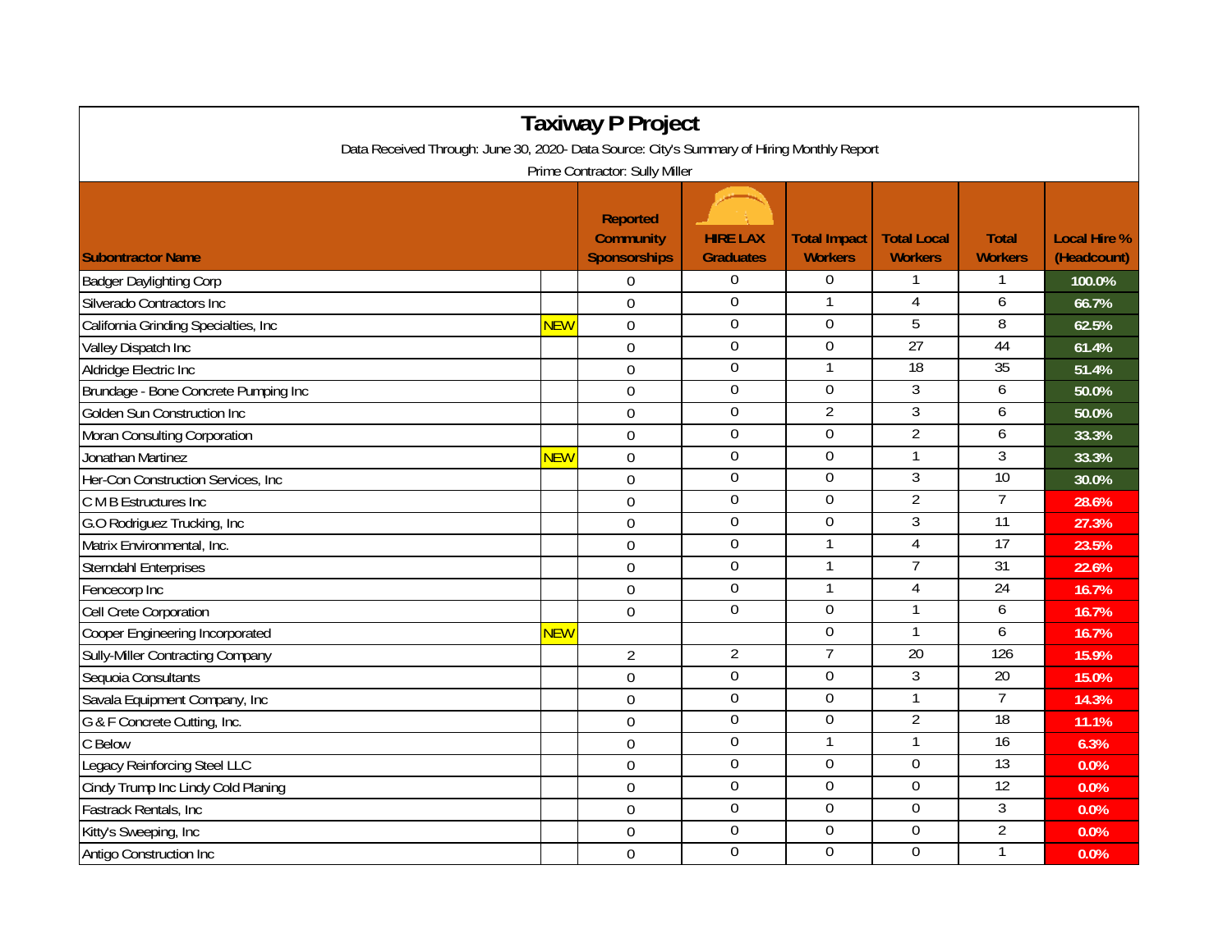| <b>Taxiway P Project</b>                                                                   |            |                                                            |                                     |                                       |                                      |                                |                                    |  |  |  |  |  |
|--------------------------------------------------------------------------------------------|------------|------------------------------------------------------------|-------------------------------------|---------------------------------------|--------------------------------------|--------------------------------|------------------------------------|--|--|--|--|--|
| Data Received Through: June 30, 2020- Data Source: City's Summary of Hiring Monthly Report |            |                                                            |                                     |                                       |                                      |                                |                                    |  |  |  |  |  |
| Prime Contractor: Sully Miller                                                             |            |                                                            |                                     |                                       |                                      |                                |                                    |  |  |  |  |  |
| <b>Subontractor Name</b>                                                                   |            | <b>Reported</b><br><b>Community</b><br><b>Sponsorships</b> | <b>HIRE LAX</b><br><b>Graduates</b> | <b>Total Impact</b><br><b>Workers</b> | <b>Total Local</b><br><b>Workers</b> | <b>Total</b><br><b>Workers</b> | <b>Local Hire %</b><br>(Headcount) |  |  |  |  |  |
| <b>Badger Daylighting Corp</b>                                                             |            | 0                                                          | 0                                   | $\boldsymbol{0}$                      |                                      |                                | 100.0%                             |  |  |  |  |  |
| Silverado Contractors Inc                                                                  |            | $\Omega$                                                   | $\Omega$                            | 1                                     | 4                                    | 6                              | 66.7%                              |  |  |  |  |  |
| California Grinding Specialties, Inc                                                       | <b>NEW</b> | $\mathbf 0$                                                | $\boldsymbol{0}$                    | $\Omega$                              | 5                                    | 8                              | 62.5%                              |  |  |  |  |  |
| Valley Dispatch Inc                                                                        |            | $\mathbf 0$                                                | $\overline{0}$                      | $\overline{0}$                        | 27                                   | 44                             | 61.4%                              |  |  |  |  |  |
| Aldridge Electric Inc                                                                      |            | $\mathbf 0$                                                | 0                                   | 1                                     | $\overline{18}$                      | 35                             | 51.4%                              |  |  |  |  |  |
| Brundage - Bone Concrete Pumping Inc                                                       |            | $\mathbf 0$                                                | $\boldsymbol{0}$                    | $\mathbf 0$                           | 3                                    | 6                              | 50.0%                              |  |  |  |  |  |
| Golden Sun Construction Inc                                                                |            | $\mathbf 0$                                                | $\mathbf 0$                         | $\overline{2}$                        | $\mathfrak{Z}$                       | 6                              | 50.0%                              |  |  |  |  |  |
| Moran Consulting Corporation                                                               |            | $\mathbf 0$                                                | $\boldsymbol{0}$                    | 0                                     | $\overline{2}$                       | 6                              | 33.3%                              |  |  |  |  |  |
| Jonathan Martinez                                                                          | <b>NEW</b> | $\overline{0}$                                             | $\boldsymbol{0}$                    | $\mathbf 0$                           | $\mathbf{1}$                         | $\overline{3}$                 | 33.3%                              |  |  |  |  |  |
| Her-Con Construction Services, Inc                                                         |            | $\Omega$                                                   | $\overline{0}$                      | $\mathbf 0$                           | $\overline{3}$                       | 10                             | 30.0%                              |  |  |  |  |  |
| C M B Estructures Inc                                                                      |            | $\overline{0}$                                             | 0                                   | $\Omega$                              | $\overline{2}$                       | $\overline{7}$                 | 28.6%                              |  |  |  |  |  |
| G.O Rodriguez Trucking, Inc                                                                |            | $\mathbf 0$                                                | $\overline{0}$                      | $\Omega$                              | $\overline{3}$                       | 11                             | 27.3%                              |  |  |  |  |  |
| Matrix Environmental, Inc.                                                                 |            | $\mathbf 0$                                                | 0                                   |                                       | $\overline{4}$                       | $\overline{17}$                | 23.5%                              |  |  |  |  |  |
| Sterndahl Enterprises                                                                      |            | $\mathbf 0$                                                | $\boldsymbol{0}$                    | 1                                     | $\overline{7}$                       | $\overline{31}$                | 22.6%                              |  |  |  |  |  |
| Fencecorp Inc                                                                              |            | $\mathbf 0$                                                | $\mathbf 0$                         | 1                                     | 4                                    | $\overline{24}$                | 16.7%                              |  |  |  |  |  |
| Cell Crete Corporation                                                                     |            | $\mathbf 0$                                                | $\overline{0}$                      | $\Omega$                              |                                      | 6                              | 16.7%                              |  |  |  |  |  |
| Cooper Engineering Incorporated                                                            | <b>NEW</b> |                                                            |                                     | 0                                     | 1                                    | 6                              | 16.7%                              |  |  |  |  |  |
| <b>Sully-Miller Contracting Company</b>                                                    |            | $\overline{2}$                                             | $\overline{2}$                      | $\overline{7}$                        | $\overline{20}$                      | 126                            | 15.9%                              |  |  |  |  |  |
| Sequoia Consultants                                                                        |            | $\overline{0}$                                             | 0                                   | $\mathbf 0$                           | $\overline{3}$                       | $\overline{20}$                | 15.0%                              |  |  |  |  |  |
| Savala Equipment Company, Inc                                                              |            | $\mathbf 0$                                                | $\overline{0}$                      | $\overline{0}$                        | 1                                    | 7                              | 14.3%                              |  |  |  |  |  |
| G & F Concrete Cutting, Inc.                                                               |            | $\boldsymbol{0}$                                           | $\boldsymbol{0}$                    | $\Omega$                              | $\overline{2}$                       | 18                             | 11.1%                              |  |  |  |  |  |
| C Below                                                                                    |            | $\mathbf 0$                                                | $\boldsymbol{0}$                    | $\mathbf{1}$                          | $\mathbf{1}$                         | $\overline{16}$                | 6.3%                               |  |  |  |  |  |
| Legacy Reinforcing Steel LLC                                                               |            | $\overline{0}$                                             | 0                                   | $\overline{0}$                        | $\overline{0}$                       | 13                             | 0.0%                               |  |  |  |  |  |
| Cindy Trump Inc Lindy Cold Planing                                                         |            | $\Omega$                                                   | $\overline{0}$                      | $\overline{0}$                        | 0                                    | $\overline{12}$                | 0.0%                               |  |  |  |  |  |
| Fastrack Rentals, Inc                                                                      |            | $\mathbf 0$                                                | $\mathbf 0$                         | $\Omega$                              | $\Omega$                             | 3                              | 0.0%                               |  |  |  |  |  |
| Kitty's Sweeping, Inc                                                                      |            | $\mathbf 0$                                                | $\boldsymbol{0}$                    | $\boldsymbol{0}$                      | $\boldsymbol{0}$                     | $\overline{2}$                 | 0.0%                               |  |  |  |  |  |
| Antigo Construction Inc                                                                    |            | $\mathbf 0$                                                | $\mathbf 0$                         | $\mathbf 0$                           | $\mathbf 0$                          | 1                              | 0.0%                               |  |  |  |  |  |